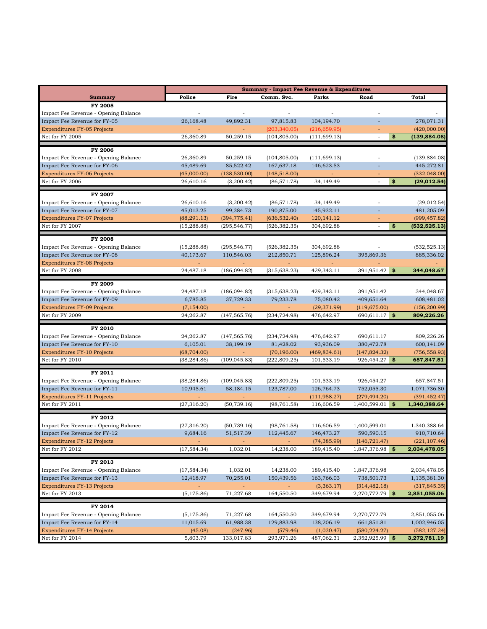|                                                                      | <b>Summary - Impact Fee Revenue &amp; Expenditures</b> |                                |                                |                             |                                |                                |
|----------------------------------------------------------------------|--------------------------------------------------------|--------------------------------|--------------------------------|-----------------------------|--------------------------------|--------------------------------|
| <b>Summary</b>                                                       | Police                                                 | Fire                           | Comm. Svc.                     | Parks                       | Road                           | Total                          |
| FY 2005                                                              |                                                        |                                |                                |                             |                                |                                |
| Impact Fee Revenue - Opening Balance                                 |                                                        |                                |                                |                             |                                |                                |
| Impact Fee Revenue for FY-05                                         | 26,168.48                                              | 49,892.31                      | 97,815.83                      | 104,194.70                  |                                | 278,071.31                     |
| <b>Expenditures FY-05 Projects</b>                                   |                                                        |                                | (203, 340.05)                  | (216, 659.95)               |                                | (420,000.00)                   |
| Net for FY 2005                                                      | 26,360.89                                              | 50,259.15                      | (104, 805.00)                  | (111, 699.13)               | \$<br>÷,                       | (139, 884.08)                  |
| FY 2006                                                              |                                                        |                                |                                |                             |                                |                                |
| Impact Fee Revenue - Opening Balance                                 | 26,360.89                                              | 50,259.15                      | (104, 805.00)                  | (111, 699.13)               |                                | (139, 884.08)                  |
| Impact Fee Revenue for FY-06                                         | 45,489.69                                              | 85,522.42                      | 167,637.18                     | 146,623.53                  |                                | 445,272.81                     |
| <b>Expenditures FY-06 Projects</b>                                   | (45,000.00)                                            | (138, 530.00)                  | (148, 518.00)                  |                             |                                | (332, 048.00)                  |
| Net for FY 2006                                                      | 26,610.16                                              | (3,200.42)                     | (86, 571.78)                   | 34,149.49                   | \$                             | (29, 012.54)                   |
|                                                                      |                                                        |                                |                                |                             |                                |                                |
| <b>FY 2007</b>                                                       |                                                        |                                |                                |                             |                                |                                |
| Impact Fee Revenue - Opening Balance                                 | 26,610.16                                              | (3,200.42)                     | (86, 571.78)                   | 34,149.49                   |                                | (29, 012.54)                   |
| Impact Fee Revenue for FY-07                                         | 45,013.25                                              | 99,384.73                      | 190,875.00                     | 145,932.11                  |                                | 481,205.09                     |
| <b>Expenditures FY-07 Projects</b><br>Net for FY 2007                | (88, 291.13)<br>(15, 288.88)                           | (394, 775.41)<br>(295, 546.77) | (636, 532.40)<br>(526, 382.35) | 120, 141. 12<br>304,692.88  | \$<br>÷,                       | (999, 457.82)<br>(532, 525.13) |
|                                                                      |                                                        |                                |                                |                             |                                |                                |
| <b>FY 2008</b>                                                       |                                                        |                                |                                |                             |                                |                                |
| Impact Fee Revenue - Opening Balance                                 | (15, 288.88)                                           | (295, 546.77)                  | (526, 382.35)                  | 304,692.88                  | $\overline{\phantom{a}}$       | (532, 525.13)                  |
| Impact Fee Revenue for FY-08                                         | 40,173.67                                              | 110,546.03                     | 212,850.71                     | 125,896.24                  | 395,869.36                     | 885,336.02                     |
| <b>Expenditures FY-08 Projects</b>                                   |                                                        |                                |                                |                             |                                |                                |
| Net for FY 2008                                                      | 24,487.18                                              | (186,094.82)                   | (315, 638.23)                  | 429,343.11                  | 391,951.42<br>- \$             | 344,048.67                     |
| FY 2009                                                              |                                                        |                                |                                |                             |                                |                                |
| Impact Fee Revenue - Opening Balance                                 | 24,487.18                                              | (186,094.82)                   | (315, 638.23)                  | 429,343.11                  | 391,951.42                     | 344,048.67                     |
| Impact Fee Revenue for FY-09                                         | 6,785.85                                               | 37,729.33                      | 79,233.78                      | 75,080.42                   | 409,651.64                     | 608,481.02                     |
| <b>Expenditures FY-09 Projects</b>                                   | (7, 154.00)                                            |                                |                                | (29, 371.99)                | (119, 675.00)                  | (156, 200.99)                  |
| Net for FY 2009                                                      | 24,262.87                                              | (147, 565.76)                  | (234, 724.98)                  | 476,642.97                  | 690,611.17<br>- \$             | 809,226.26                     |
|                                                                      |                                                        |                                |                                |                             |                                |                                |
| FY 2010                                                              |                                                        |                                |                                |                             |                                |                                |
| Impact Fee Revenue - Opening Balance                                 | 24,262.87                                              | (147, 565.76)                  | (234, 724.98)                  | 476,642.97                  | 690,611.17                     | 809,226.26                     |
| Impact Fee Revenue for FY-10                                         | 6,105.01                                               | 38,199.19                      | 81,428.02                      | 93,936.09                   | 380,472.78                     | 600,141.09                     |
| <b>Expenditures FY-10 Projects</b><br>Net for FY 2010                | (68, 704.00)<br>(38, 284.86)                           | (109, 045.83)                  | (70, 196.00)<br>(222, 809.25)  | (469, 834.61)<br>101,533.19 | (147, 824.32)<br>926,454.27 \$ | (756, 558.93)<br>657,847.51    |
|                                                                      |                                                        |                                |                                |                             |                                |                                |
| FY 2011                                                              |                                                        |                                |                                |                             |                                |                                |
| Impact Fee Revenue - Opening Balance                                 | (38, 284.86)                                           | (109, 045.83)                  | (222, 809.25)                  | 101,533.19                  | 926,454.27                     | 657,847.51                     |
| Impact Fee Revenue for FY-11                                         | 10,945.61                                              | 58,184.15                      | 123,787.00                     | 126,764.73                  | 752,055.30                     | 1,071,736.80                   |
| <b>Expenditures FY-11 Projects</b>                                   |                                                        |                                |                                | (111, 958.27)               | (279, 494.20)                  | (391, 452.47)                  |
| Net for FY 2011                                                      | (27, 316.20)                                           | (50, 739.16)                   | (98, 761.58)                   | 116,606.59                  | 1,400,599.01<br>-\$            | 1,340,388.64                   |
| FY 2012                                                              |                                                        |                                |                                |                             |                                |                                |
| Impact Fee Revenue - Opening Balance                                 | (27, 316.20)                                           | (50, 739.16)                   | (98, 761.58)                   | 116,606.59                  | 1,400,599.01                   | 1,340,388.64                   |
| Impact Fee Revenue for FY-12                                         | 9,684.16                                               | 51,517.39                      | 112,445.67                     | 146,473.27                  | 590,590.15                     | 910,710.64                     |
| <b>Expenditures FY-12 Projects</b>                                   |                                                        |                                |                                | (74, 385.99)                | (146, 721.47)                  | (221, 107.46)                  |
| Net for FY 2012                                                      | (17, 584.34)                                           | 1,032.01                       | 14,238.00                      | 189,415.40                  | 1,847,376.98 \$                | 2,034,478.05                   |
|                                                                      |                                                        |                                |                                |                             |                                |                                |
| FY 2013                                                              |                                                        |                                |                                |                             |                                |                                |
| Impact Fee Revenue - Opening Balance<br>Impact Fee Revenue for FY-13 | (17, 584.34)<br>12,418.97                              | 1,032.01<br>70,255.01          | 14,238.00                      | 189,415.40<br>163,766.03    | 1,847,376.98<br>738,501.73     | 2,034,478.05<br>1,135,381.30   |
| <b>Expenditures FY-13 Projects</b>                                   |                                                        |                                | 150,439.56                     | (3,363.17)                  | (314, 482.18)                  | (317, 845.35)                  |
| Net for FY 2013                                                      | (5, 175.86)                                            | 71,227.68                      | 164,550.50                     | 349,679.94                  | 2,270,772.79 \$                | 2,851,055.06                   |
|                                                                      |                                                        |                                |                                |                             |                                |                                |
| FY 2014                                                              |                                                        |                                |                                |                             |                                |                                |
| Impact Fee Revenue - Opening Balance                                 | (5, 175.86)                                            | 71,227.68                      | 164,550.50                     | 349,679.94                  | 2,270,772.79                   | 2,851,055.06                   |
| Impact Fee Revenue for FY-14                                         | 11,015.69                                              | 61,988.38                      | 129,883.98                     | 138,206.19                  | 661,851.81                     | 1,002,946.05                   |
| <b>Expenditures FY-14 Projects</b>                                   | (45.08)                                                | (247.96)                       | (579.46)                       | (1,030.47)                  | (580, 224.27)                  | (582, 127.24)                  |
| Net for FY 2014                                                      | 5,803.79                                               | 133,017.83                     | 293,971.26                     | 487,062.31                  | $2,352,925.99$ \$              | 3,272,781.19                   |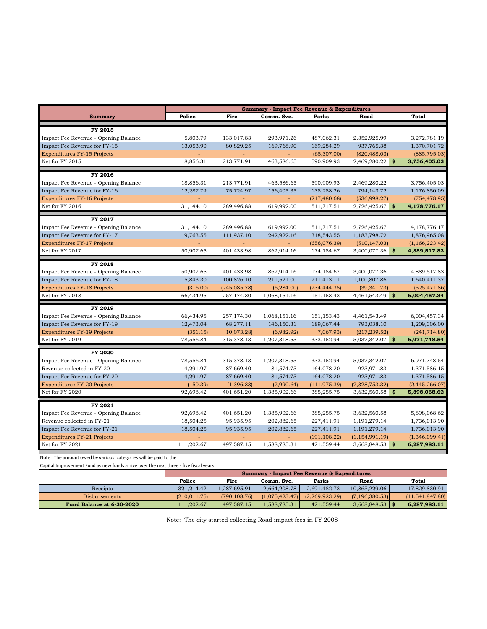|                                                                                       | <b>Summary - Impact Fee Revenue &amp; Expenditures</b> |               |                |                                                        |                      |                   |  |
|---------------------------------------------------------------------------------------|--------------------------------------------------------|---------------|----------------|--------------------------------------------------------|----------------------|-------------------|--|
| <b>Summary</b>                                                                        | Police                                                 | Fire          | Comm. Svc.     | Parks                                                  | Road                 | Total             |  |
| FY 2015                                                                               |                                                        |               |                |                                                        |                      |                   |  |
| Impact Fee Revenue - Opening Balance                                                  | 5,803.79                                               | 133,017.83    | 293,971.26     | 487,062.31                                             | 2,352,925.99         | 3,272,781.19      |  |
| Impact Fee Revenue for FY-15                                                          | 13,053.90                                              | 80,829.25     | 169,768.90     | 169,284.29                                             | 937,765.38           | 1,370,701.72      |  |
| <b>Expenditures FY-15 Projects</b>                                                    |                                                        |               |                | (65, 307.00)                                           | (820, 488.03)        | (885, 795.03)     |  |
| Net for FY 2015                                                                       | 18,856.31                                              | 213,771.91    | 463,586.65     | 590,909.93                                             | 2,469,280.22<br>\$   | 3,756,405.03      |  |
|                                                                                       |                                                        |               |                |                                                        |                      |                   |  |
| FY 2016                                                                               |                                                        |               |                |                                                        |                      |                   |  |
| Impact Fee Revenue - Opening Balance                                                  | 18,856.31                                              | 213,771.91    | 463,586.65     | 590,909.93                                             | 2,469,280.22         | 3,756,405.03      |  |
| Impact Fee Revenue for FY-16                                                          | 12,287.79                                              | 75,724.97     | 156,405.35     | 138,288.26                                             | 794,143.72           | 1,176,850.09      |  |
| <b>Expenditures FY-16 Projects</b>                                                    |                                                        |               |                | (217, 480.68)                                          | (536,998.27)         | (754, 478.95)     |  |
| Net for FY 2016                                                                       | 31,144.10                                              | 289,496.88    | 619,992.00     | 511,717.51                                             | -\$<br>2,726,425.67  | 4,178,776.17      |  |
| FY 2017                                                                               |                                                        |               |                |                                                        |                      |                   |  |
| Impact Fee Revenue - Opening Balance                                                  | 31,144.10                                              | 289,496.88    | 619,992.00     | 511,717.51                                             | 2,726,425.67         | 4,178,776.17      |  |
| Impact Fee Revenue for FY-17                                                          | 19,763.55                                              | 111,937.10    | 242,922.16     | 318,543.55                                             | 1,183,798.72         | 1,876,965.08      |  |
| <b>Expenditures FY-17 Projects</b>                                                    |                                                        | $\sim$        | $\sim$         | (656,076.39)                                           | (510, 147.03)        | (1,166,223.42)    |  |
| Net for FY 2017                                                                       | 50,907.65                                              | 401,433.98    | 862,914.16     | 174,184.67                                             | 3,400,077.36<br>\$   | 4,889,517.83      |  |
|                                                                                       |                                                        |               |                |                                                        |                      |                   |  |
| FY 2018                                                                               |                                                        |               |                |                                                        |                      |                   |  |
| Impact Fee Revenue - Opening Balance                                                  | 50,907.65                                              | 401,433.98    | 862,914.16     | 174,184.67                                             | 3,400,077.36         | 4,889,517.83      |  |
| Impact Fee Revenue for FY-18                                                          | 15,843.30                                              | 100,826.10    | 211,521.00     | 211,413.11                                             | 1,100,807.86         | 1,640,411.37      |  |
| <b>Expenditures FY-18 Projects</b>                                                    | (316.00)                                               | (245, 085.78) | (6, 284.00)    | (234, 444.35)                                          | (39, 341.73)         | (525, 471.86)     |  |
| Net for FY 2018                                                                       | 66,434.95                                              | 257,174.30    | 1,068,151.16   | 151,153.43                                             | 4,461,543.49 \$      | 6,004,457.34      |  |
| FY 2019                                                                               |                                                        |               |                |                                                        |                      |                   |  |
| Impact Fee Revenue - Opening Balance                                                  | 66,434.95                                              | 257,174.30    | 1,068,151.16   | 151,153.43                                             | 4,461,543.49         | 6,004,457.34      |  |
| Impact Fee Revenue for FY-19                                                          | 12,473.04                                              | 68,277.11     | 146,150.31     | 189,067.44                                             | 793,038.10           | 1,209,006.00      |  |
| <b>Expenditures FY-19 Projects</b>                                                    | (351.15)                                               | (10,073.28)   | (6,982.92)     | (7,067.93)                                             | (217, 239.52)        | (241, 714.80)     |  |
| Net for FY 2019                                                                       | 78,556.84                                              | 315,378.13    | 1,207,318.55   | 333,152.94                                             | 5,037,342.07<br>-\$  | 6,971,748.54      |  |
|                                                                                       |                                                        |               |                |                                                        |                      |                   |  |
| <b>FY 2020</b>                                                                        |                                                        |               |                |                                                        |                      |                   |  |
| Impact Fee Revenue - Opening Balance                                                  | 78,556.84                                              | 315,378.13    | 1,207,318.55   | 333,152.94                                             | 5,037,342.07         | 6,971,748.54      |  |
| Revenue collected in FY-20                                                            | 14,291.97                                              | 87,669.40     | 181,574.75     | 164,078.20                                             | 923,971.83           | 1,371,586.15      |  |
| Impact Fee Revenue for FY-20                                                          | 14,291.97                                              | 87,669.40     | 181,574.75     | 164,078.20                                             | 923,971.83           | 1,371,586.15      |  |
| <b>Expenditures FY-20 Projects</b>                                                    | (150.39)                                               | (1, 396.33)   | (2,990.64)     | (111, 975.39)                                          | (2,328,753.32)       | (2,445,266.07)    |  |
| Net for FY 2020                                                                       | 92,698.42                                              | 401,651.20    | 1,385,902.66   | 385,255.75                                             | 3,632,560.58<br>\$   | 5,898,068.62      |  |
| FY 2021                                                                               |                                                        |               |                |                                                        |                      |                   |  |
| Impact Fee Revenue - Opening Balance                                                  | 92,698.42                                              | 401,651.20    | 1,385,902.66   | 385,255.75                                             | 3,632,560.58         | 5,898,068.62      |  |
| Revenue collected in FY-21                                                            | 18,504.25                                              | 95,935.95     | 202,882.65     | 227,411.91                                             | 1,191,279.14         | 1,736,013.90      |  |
| Impact Fee Revenue for FY-21                                                          | 18,504.25                                              | 95,935.95     | 202,882.65     | 227,411.91                                             | 1,191,279.14         | 1,736,013.90      |  |
| <b>Expenditures FY-21 Projects</b>                                                    |                                                        |               |                | (191, 108.22)                                          | (1, 154, 991.19)     | (1,346,099.41)    |  |
| Net for FY 2021                                                                       | 111,202.67                                             | 497,587.15    | 1,588,785.31   | 421,559.44                                             | - \$<br>3,668,848.53 | 6,287,983.11      |  |
| Note: The amount owed by various categories will be paid to the                       |                                                        |               |                |                                                        |                      |                   |  |
| Capital Improvement Fund as new funds arrive over the next three - five fiscal years. |                                                        |               |                |                                                        |                      |                   |  |
|                                                                                       |                                                        |               |                | <b>Summary - Impact Fee Revenue &amp; Expenditures</b> |                      |                   |  |
|                                                                                       | Police                                                 | Fire          | Comm. Svc.     | Parks                                                  | Road                 | Total             |  |
| Receipts                                                                              | 321,214.42                                             | 1,287,695.91  | 2,664,208.78   | 2,691,482.73                                           | 10,865,229.06        | 17,829,830.91     |  |
|                                                                                       | (210, 011.75)                                          | (790, 108.76) | (1,075,423.47) | (2,269,923.29)                                         | (7, 196, 380.53)     | (11, 541, 847.80) |  |

**Fund Balance at 6-30-2020** 111,202.67 497,587.15 1,588,785.31 421,559.44 3,668,848.53 **\$ 6,287,983.11** Note: The city started collecting Road impact fees in FY 2008